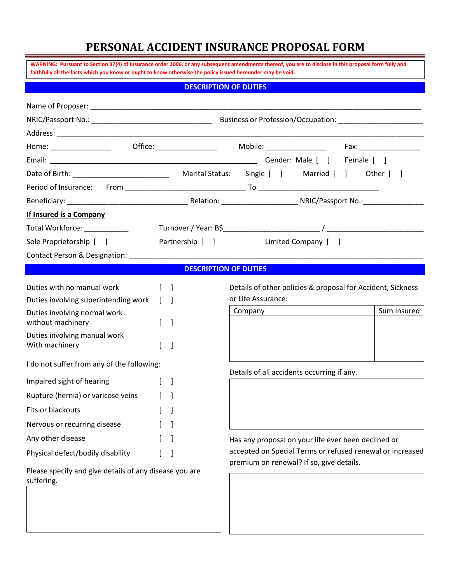# **PERSONAL ACCIDENT INSURANCE PROPOSAL FORM**

| WARNING: Pursuant to Section 37(4) of Insurance order 2006, or any subsequent amendments thereof, you are to disclose in this proposal form fully and<br>faithfully all the facts which you know or ought to know otherwise the policy issued hereunder may be void. |                                                                                                     |                                                                                                                                           |  |  |  |  |  |  |
|----------------------------------------------------------------------------------------------------------------------------------------------------------------------------------------------------------------------------------------------------------------------|-----------------------------------------------------------------------------------------------------|-------------------------------------------------------------------------------------------------------------------------------------------|--|--|--|--|--|--|
| <b>DESCRIPTION OF DUTIES</b>                                                                                                                                                                                                                                         |                                                                                                     |                                                                                                                                           |  |  |  |  |  |  |
|                                                                                                                                                                                                                                                                      |                                                                                                     |                                                                                                                                           |  |  |  |  |  |  |
|                                                                                                                                                                                                                                                                      |                                                                                                     |                                                                                                                                           |  |  |  |  |  |  |
|                                                                                                                                                                                                                                                                      |                                                                                                     |                                                                                                                                           |  |  |  |  |  |  |
|                                                                                                                                                                                                                                                                      |                                                                                                     |                                                                                                                                           |  |  |  |  |  |  |
|                                                                                                                                                                                                                                                                      |                                                                                                     |                                                                                                                                           |  |  |  |  |  |  |
|                                                                                                                                                                                                                                                                      |                                                                                                     |                                                                                                                                           |  |  |  |  |  |  |
|                                                                                                                                                                                                                                                                      |                                                                                                     |                                                                                                                                           |  |  |  |  |  |  |
|                                                                                                                                                                                                                                                                      |                                                                                                     |                                                                                                                                           |  |  |  |  |  |  |
|                                                                                                                                                                                                                                                                      |                                                                                                     |                                                                                                                                           |  |  |  |  |  |  |
|                                                                                                                                                                                                                                                                      |                                                                                                     |                                                                                                                                           |  |  |  |  |  |  |
|                                                                                                                                                                                                                                                                      | Limited Company [ ]                                                                                 |                                                                                                                                           |  |  |  |  |  |  |
|                                                                                                                                                                                                                                                                      |                                                                                                     |                                                                                                                                           |  |  |  |  |  |  |
|                                                                                                                                                                                                                                                                      |                                                                                                     |                                                                                                                                           |  |  |  |  |  |  |
| $\Box$                                                                                                                                                                                                                                                               | Details of other policies & proposal for Accident, Sickness<br>or Life Assurance:                   |                                                                                                                                           |  |  |  |  |  |  |
|                                                                                                                                                                                                                                                                      | <b>Company Company</b>                                                                              | Sum Insured                                                                                                                               |  |  |  |  |  |  |
| $\mathbf{I}$                                                                                                                                                                                                                                                         |                                                                                                     |                                                                                                                                           |  |  |  |  |  |  |
|                                                                                                                                                                                                                                                                      |                                                                                                     |                                                                                                                                           |  |  |  |  |  |  |
| I do not suffer from any of the following:                                                                                                                                                                                                                           |                                                                                                     |                                                                                                                                           |  |  |  |  |  |  |
|                                                                                                                                                                                                                                                                      |                                                                                                     |                                                                                                                                           |  |  |  |  |  |  |
|                                                                                                                                                                                                                                                                      |                                                                                                     |                                                                                                                                           |  |  |  |  |  |  |
|                                                                                                                                                                                                                                                                      |                                                                                                     |                                                                                                                                           |  |  |  |  |  |  |
|                                                                                                                                                                                                                                                                      |                                                                                                     |                                                                                                                                           |  |  |  |  |  |  |
|                                                                                                                                                                                                                                                                      | Has any proposal on your life ever been declined or                                                 |                                                                                                                                           |  |  |  |  |  |  |
|                                                                                                                                                                                                                                                                      | accepted on Special Terms or refused renewal or increased                                           |                                                                                                                                           |  |  |  |  |  |  |
|                                                                                                                                                                                                                                                                      |                                                                                                     |                                                                                                                                           |  |  |  |  |  |  |
|                                                                                                                                                                                                                                                                      | Contact Person & Designation: ___________<br>Please specify and give details of any disease you are | Partnership [ ]<br><b>DESCRIPTION OF DUTIES</b><br>Details of all accidents occurring if any.<br>premium on renewal? If so, give details. |  |  |  |  |  |  |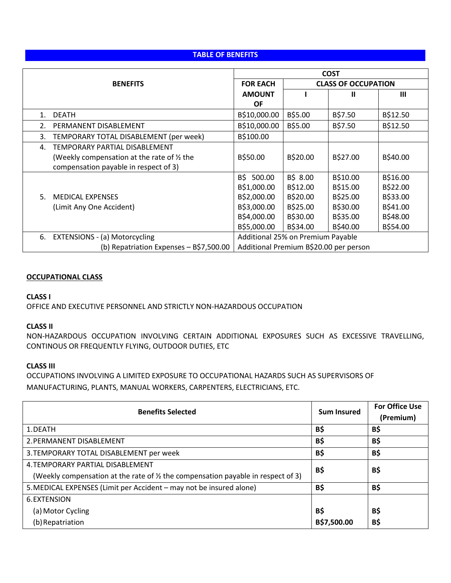## **TABLE OF BENEFITS**

|    |                                             | <b>COST</b>                            |                            |          |          |
|----|---------------------------------------------|----------------------------------------|----------------------------|----------|----------|
|    | <b>BENEFITS</b>                             | <b>FOR EACH</b>                        | <b>CLASS OF OCCUPATION</b> |          |          |
|    |                                             | <b>AMOUNT</b>                          |                            | Ш        | Ш        |
|    |                                             | OF                                     |                            |          |          |
| 1. | <b>DEATH</b>                                | B\$10,000.00                           | B\$5.00                    | B\$7.50  | B\$12.50 |
| 2. | PERMANENT DISABLEMENT                       | B\$10,000.00                           | B\$5.00                    | B\$7.50  | B\$12.50 |
| 3. | TEMPORARY TOTAL DISABLEMENT (per week)      | B\$100.00                              |                            |          |          |
| 4. | TEMPORARY PARTIAL DISABLEMENT               |                                        |                            |          |          |
|    | (Weekly compensation at the rate of 1/2 the | B\$50.00                               | B\$20.00                   | B\$27.00 | B\$40.00 |
|    | compensation payable in respect of 3)       |                                        |                            |          |          |
|    |                                             | B\$<br>500.00                          | B\$ 8.00                   | B\$10.00 | B\$16.00 |
|    |                                             | B\$1,000.00                            | B\$12.00                   | B\$15.00 | B\$22.00 |
| 5. | <b>MEDICAL EXPENSES</b>                     | B\$2,000.00                            | B\$20.00                   | B\$25.00 | B\$33.00 |
|    | (Limit Any One Accident)                    | B\$3,000.00                            | B\$25.00                   | B\$30.00 | B\$41.00 |
|    |                                             | B\$4,000.00                            | B\$30.00                   | B\$35.00 | B\$48.00 |
|    |                                             | B\$5,000.00                            | B\$34.00                   | B\$40.00 | B\$54.00 |
| 6. | <b>EXTENSIONS - (a) Motorcycling</b>        | Additional 25% on Premium Payable      |                            |          |          |
|    | (b) Repatriation Expenses - B\$7,500.00     | Additional Premium B\$20.00 per person |                            |          |          |

### **OCCUPATIONAL CLASS**

**CLASS I**

OFFICE AND EXECUTIVE PERSONNEL AND STRICTLY NON-HAZARDOUS OCCUPATION

#### **CLASS II**

NON-HAZARDOUS OCCUPATION INVOLVING CERTAIN ADDITIONAL EXPOSURES SUCH AS EXCESSIVE TRAVELLING, CONTINOUS OR FREQUENTLY FLYING, OUTDOOR DUTIES, ETC

## **CLASS III**

OCCUPATIONS INVOLVING A LIMITED EXPOSURE TO OCCUPATIONAL HAZARDS SUCH AS SUPERVISORS OF MANUFACTURING, PLANTS, MANUAL WORKERS, CARPENTERS, ELECTRICIANS, ETC.

| <b>Benefits Selected</b>                                                                    | <b>Sum Insured</b> | <b>For Office Use</b><br>(Premium) |
|---------------------------------------------------------------------------------------------|--------------------|------------------------------------|
| 1. DEATH                                                                                    | B\$                | <b>B\$</b>                         |
| 2. PERMANENT DISABLEMENT                                                                    | B\$                | <b>B\$</b>                         |
| 3. TEMPORARY TOTAL DISABLEMENT per week                                                     | B\$                | B\$                                |
| 4. TEMPORARY PARTIAL DISABLEMENT                                                            | <b>B\$</b>         | B\$                                |
| (Weekly compensation at the rate of $\frac{1}{2}$ the compensation payable in respect of 3) |                    |                                    |
| 5. MEDICAL EXPENSES (Limit per Accident – may not be insured alone)                         | <b>B\$</b>         | <b>B\$</b>                         |
| 6. EXTENSION                                                                                |                    |                                    |
| (a) Motor Cycling                                                                           | B\$                | B\$                                |
| (b) Repatriation                                                                            | B\$7,500.00        | <b>B\$</b>                         |